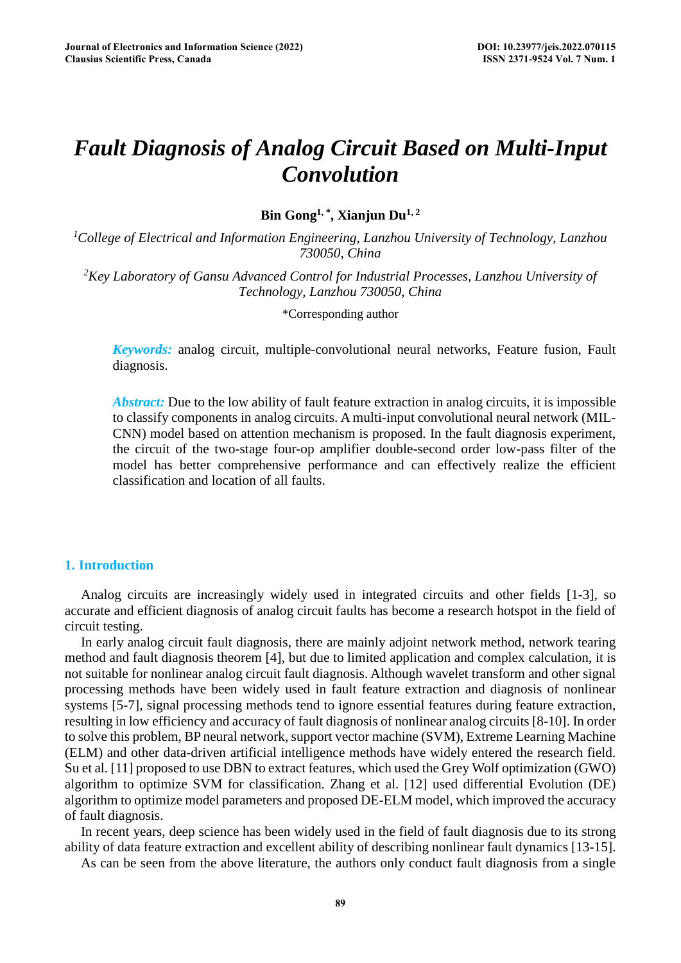# *Fault Diagnosis of Analog Circuit Based on Multi-Input Convolution*

**Bin Gong1, \*, Xianjun Du1, 2**

*1 College of Electrical and Information Engineering, Lanzhou University of Technology, Lanzhou 730050, China* 

*2 Key Laboratory of Gansu Advanced Control for Industrial Processes, Lanzhou University of Technology, Lanzhou 730050, China* 

\*Corresponding author

*Keywords:* analog circuit, multiple-convolutional neural networks, Feature fusion, Fault diagnosis.

*Abstract:* Due to the low ability of fault feature extraction in analog circuits, it is impossible to classify components in analog circuits. A multi-input convolutional neural network (MIL-CNN) model based on attention mechanism is proposed. In the fault diagnosis experiment, the circuit of the two-stage four-op amplifier double-second order low-pass filter of the model has better comprehensive performance and can effectively realize the efficient classification and location of all faults.

## **1. Introduction**

Analog circuits are increasingly widely used in integrated circuits and other fields [1-3], so accurate and efficient diagnosis of analog circuit faults has become a research hotspot in the field of circuit testing.

In early analog circuit fault diagnosis, there are mainly adjoint network method, network tearing method and fault diagnosis theorem [4], but due to limited application and complex calculation, it is not suitable for nonlinear analog circuit fault diagnosis. Although wavelet transform and other signal processing methods have been widely used in fault feature extraction and diagnosis of nonlinear systems [5-7], signal processing methods tend to ignore essential features during feature extraction, resulting in low efficiency and accuracy of fault diagnosis of nonlinear analog circuits [8-10]. In order to solve this problem, BP neural network, support vector machine (SVM), Extreme Learning Machine (ELM) and other data-driven artificial intelligence methods have widely entered the research field. Su et al. [11] proposed to use DBN to extract features, which used the Grey Wolf optimization (GWO) algorithm to optimize SVM for classification. Zhang et al. [12] used differential Evolution (DE) algorithm to optimize model parameters and proposed DE-ELM model, which improved the accuracy of fault diagnosis.

In recent years, deep science has been widely used in the field of fault diagnosis due to its strong ability of data feature extraction and excellent ability of describing nonlinear fault dynamics [13-15].

As can be seen from the above literature, the authors only conduct fault diagnosis from a single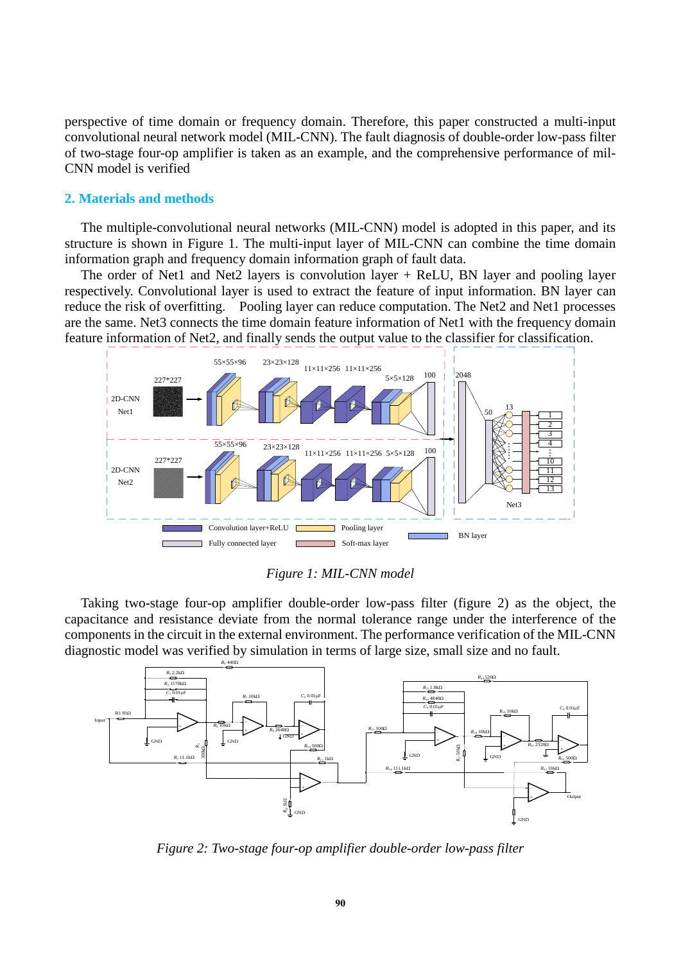perspective of time domain or frequency domain. Therefore, this paper constructed a multi-input convolutional neural network model (MIL-CNN). The fault diagnosis of double-order low-pass filter of two-stage four-op amplifier is taken as an example, and the comprehensive performance of mil-CNN model is verified

## **2. Materials and methods**

The multiple-convolutional neural networks (MIL-CNN) model is adopted in this paper, and its structure is shown in Figure 1. The multi-input layer of MIL-CNN can combine the time domain information graph and frequency domain information graph of fault data.

The order of Net1 and Net2 layers is convolution layer + ReLU, BN layer and pooling layer respectively. Convolutional layer is used to extract the feature of input information. BN layer can reduce the risk of overfitting. Pooling layer can reduce computation. The Net2 and Net1 processes are the same. Net3 connects the time domain feature information of Net1 with the frequency domain feature information of Net2, and finally sends the output value to the classifier for classification.



*Figure 1: MIL-CNN model*

Taking two-stage four-op amplifier double-order low-pass filter (figure 2) as the object, the capacitance and resistance deviate from the normal tolerance range under the interference of the components in the circuit in the external environment. The performance verification of the MIL-CNN diagnostic model was verified by simulation in terms of large size, small size and no fault.



*Figure 2: Two-stage four-op amplifier double-order low-pass filter*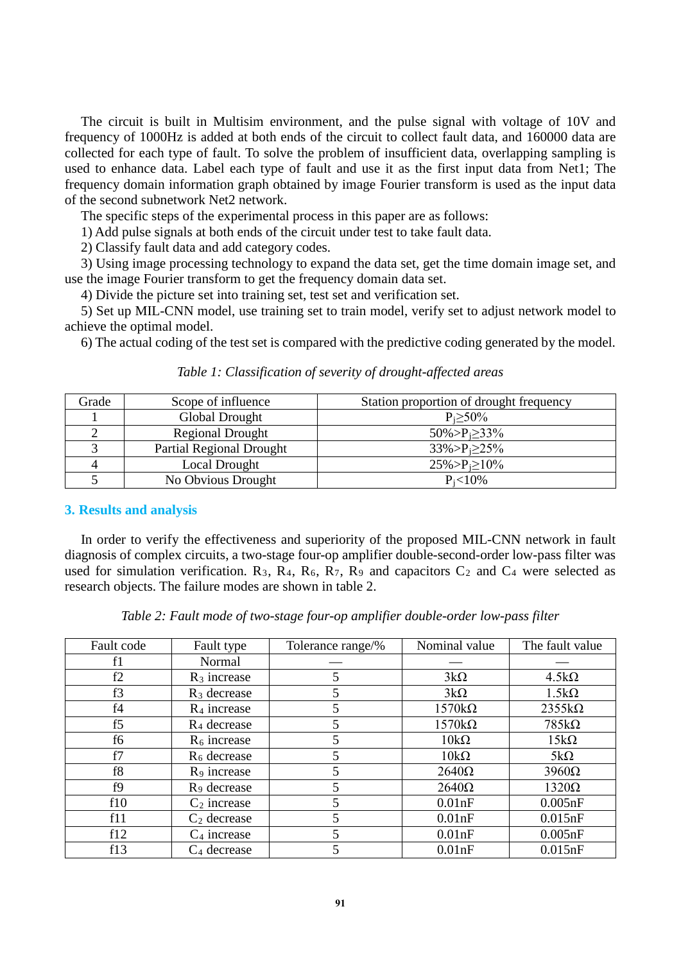The circuit is built in Multisim environment, and the pulse signal with voltage of 10V and frequency of 1000Hz is added at both ends of the circuit to collect fault data, and 160000 data are collected for each type of fault. To solve the problem of insufficient data, overlapping sampling is used to enhance data. Label each type of fault and use it as the first input data from Net1; The frequency domain information graph obtained by image Fourier transform is used as the input data of the second subnetwork Net2 network.

The specific steps of the experimental process in this paper are as follows:

1) Add pulse signals at both ends of the circuit under test to take fault data.

2) Classify fault data and add category codes.

3) Using image processing technology to expand the data set, get the time domain image set, and use the image Fourier transform to get the frequency domain data set.

4) Divide the picture set into training set, test set and verification set.

5) Set up MIL-CNN model, use training set to train model, verify set to adjust network model to achieve the optimal model.

6) The actual coding of the test set is compared with the predictive coding generated by the model.

| Grade | Scope of influence              | Station proportion of drought frequency |
|-------|---------------------------------|-----------------------------------------|
|       | Global Drought                  | $P_i \geq 50\%$                         |
|       | <b>Regional Drought</b>         | $50\% > P_i \geq 33\%$                  |
|       | <b>Partial Regional Drought</b> | $33\% > P_i \geq 25\%$                  |
|       | Local Drought                   | $25\% > P_i \ge 10\%$                   |
|       | No Obvious Drought              | $P_i < 10\%$                            |

## *Table 1: Classification of severity of drought-affected areas*

## **3. Results and analysis**

In order to verify the effectiveness and superiority of the proposed MIL-CNN network in fault diagnosis of complex circuits, a two-stage four-op amplifier double-second-order low-pass filter was used for simulation verification.  $R_3$ ,  $R_4$ ,  $R_6$ ,  $R_7$ ,  $R_9$  and capacitors  $C_2$  and  $C_4$  were selected as research objects. The failure modes are shown in table 2.

|  | Table 2: Fault mode of two-stage four-op amplifier double-order low-pass filter |  |
|--|---------------------------------------------------------------------------------|--|
|  |                                                                                 |  |

| Fault code | Fault type              | Tolerance range/% | Nominal value | The fault value |
|------------|-------------------------|-------------------|---------------|-----------------|
| f1         | Normal                  |                   |               |                 |
| f2         | $R_3$ increase          | 5                 | $3k\Omega$    | $4.5k\Omega$    |
| f3         | $R_3$ decrease          | 5                 | $3k\Omega$    | $1.5k\Omega$    |
| f4         | $R_4$ increase          | 5                 | $1570k\Omega$ | $2355k\Omega$   |
| f5         | R <sub>4</sub> decrease | 5                 | $1570k\Omega$ | $785k\Omega$    |
| f6         | $R6$ increase           | 5                 | $10k\Omega$   | $15k\Omega$     |
| f7         | $R6$ decrease           | 5                 | $10k\Omega$   | $5k\Omega$      |
| f8         | R <sub>9</sub> increase | 5                 | $2640\Omega$  | $3960\Omega$    |
| f9         | R <sub>9</sub> decrease | 5                 | $2640\Omega$  | $1320\Omega$    |
| f10        | $C_2$ increase          | 5                 | 0.01nF        | 0.005nF         |
| f11        | $C_2$ decrease          | 5                 | 0.01nF        | 0.015nF         |
| f12        | $C_4$ increase          | 5                 | 0.01nF        | 0.005nF         |
| f13        | $C_4$ decrease          | 5                 | 0.01nF        | 0.015nF         |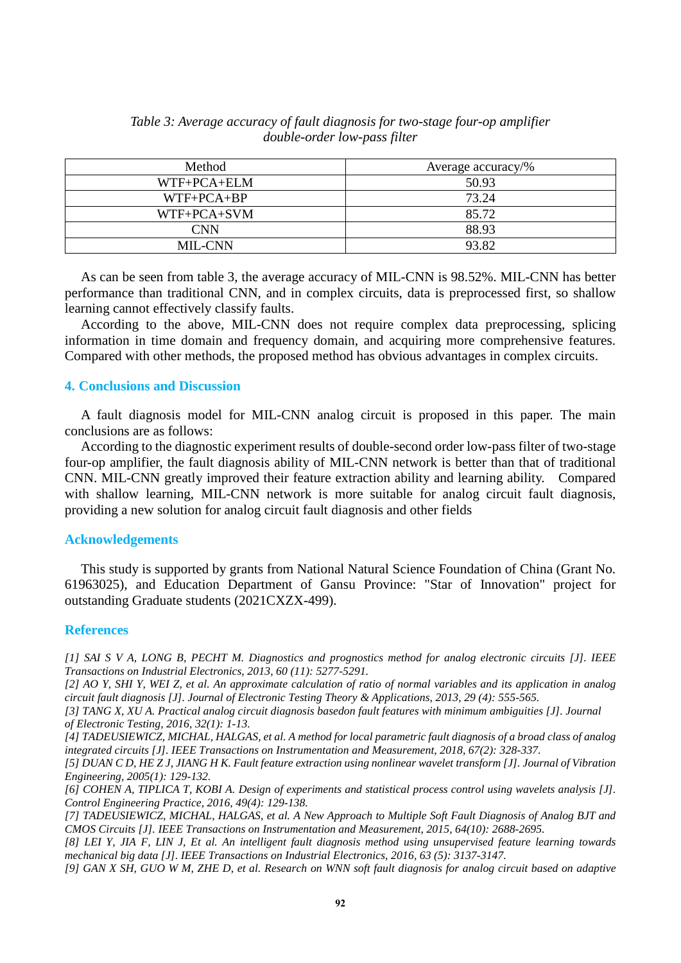| Method         | Average accuracy/% |
|----------------|--------------------|
| WTF+PCA+ELM    | 50.93              |
| $WTF+PCA+BP$   | 73.24              |
| WTF+PCA+SVM    | 85.72              |
| CNN            | 88.93              |
| <b>MIL-CNN</b> | 93.82              |

*Table 3: Average accuracy of fault diagnosis for two-stage four-op amplifier double-order low-pass filter*

As can be seen from table 3, the average accuracy of MIL-CNN is 98.52%. MIL-CNN has better performance than traditional CNN, and in complex circuits, data is preprocessed first, so shallow learning cannot effectively classify faults.

According to the above, MIL-CNN does not require complex data preprocessing, splicing information in time domain and frequency domain, and acquiring more comprehensive features. Compared with other methods, the proposed method has obvious advantages in complex circuits.

## **4. Conclusions and Discussion**

A fault diagnosis model for MIL-CNN analog circuit is proposed in this paper. The main conclusions are as follows:

According to the diagnostic experiment results of double-second order low-pass filter of two-stage four-op amplifier, the fault diagnosis ability of MIL-CNN network is better than that of traditional CNN. MIL-CNN greatly improved their feature extraction ability and learning ability. Compared with shallow learning, MIL-CNN network is more suitable for analog circuit fault diagnosis, providing a new solution for analog circuit fault diagnosis and other fields

#### **Acknowledgements**

This study is supported by grants from National Natural Science Foundation of China (Grant No. 61963025), and Education Department of Gansu Province: "Star of Innovation" project for outstanding Graduate students (2021CXZX-499).

#### **References**

*[1] SAI S V A, LONG B, PECHT M. Diagnostics and prognostics method for analog electronic circuits [J]. IEEE Transactions on Industrial Electronics, 2013, 60 (11): 5277-5291.*

*[2] AO Y, SHI Y, WEI Z, et al. An approximate calculation of ratio of normal variables and its application in analog circuit fault diagnosis [J]. Journal of Electronic Testing Theory & Applications, 2013, 29 (4): 555-565.*

*[3] TANG X, XU A. Practical analog circuit diagnosis basedon fault features with minimum ambiguities [J]. Journal of Electronic Testing, 2016, 32(1): 1-13.*

*[4] TADEUSIEWICZ, MICHAL, HALGAS, et al. A method for local parametric fault diagnosis of a broad class of analog integrated circuits [J]. IEEE Transactions on Instrumentation and Measurement, 2018, 67(2): 328-337.*

*[5] DUAN C D, HE Z J, JIANG H K. Fault feature extraction using nonlinear wavelet transform [J]. Journal of Vibration Engineering, 2005(1): 129-132.*

*[6] COHEN A, TIPLICA T, KOBI A. Design of experiments and statistical process control using wavelets analysis [J]. Control Engineering Practice, 2016, 49(4): 129-138.*

*[7] TADEUSIEWICZ, MICHAL, HALGAS, et al. A New Approach to Multiple Soft Fault Diagnosis of Analog BJT and CMOS Circuits [J]. IEEE Transactions on Instrumentation and Measurement, 2015, 64(10): 2688-2695.*

*[8] LEI Y, JIA F, LIN J, Et al. An intelligent fault diagnosis method using unsupervised feature learning towards mechanical big data [J]. IEEE Transactions on Industrial Electronics, 2016, 63 (5): 3137-3147.* 

*[9] GAN X SH, GUO W M, ZHE D, et al. Research on WNN soft fault diagnosis for analog circuit based on adaptive*